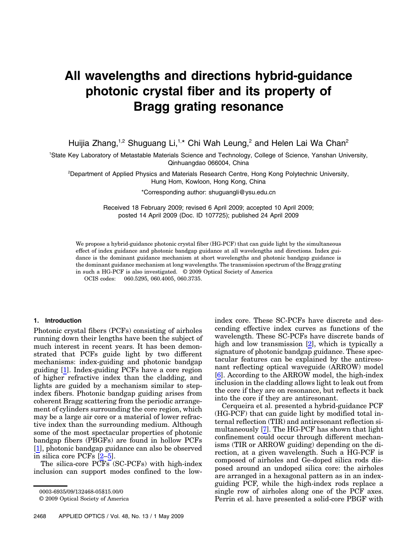# All wavelengths and directions hybrid-guidance photonic crystal fiber and its property of Bragg grating resonance

Huijia Zhang,<sup>1,2</sup> Shuguang Li,<sup>1,\*</sup> Chi Wah Leung,<sup>2</sup> and Helen Lai Wa Chan<sup>2</sup>

1 State Key Laboratory of Metastable Materials Science and Technology, College of Science, Yanshan University, Qinhuangdao 066004, China

2 Department of Applied Physics and Materials Research Centre, Hong Kong Polytechnic University, Hung Hom, Kowloon, Hong Kong, China

\*Corresponding author: shuguangli@ysu.edu.cn

Received 18 February 2009; revised 6 April 2009; accepted 10 April 2009; posted 14 April 2009 (Doc. ID 107725); published 24 April 2009

We propose a hybrid-guidance photonic crystal fiber (HG-PCF) that can guide light by the simultaneous effect of index guidance and photonic bandgap guidance at all wavelengths and directions. Index guidance is the dominant guidance mechanism at short wavelengths and photonic bandgap guidance is the dominant guidance mechanism at long wavelengths. The transmission spectrum of the Bragg grating in such a HG-PCF is also investigated. © 2009 Optical Society of America OCIS codes: 060.5295, 060.4005, 060.3735.

### 1. Introduction

Photonic crystal fibers (PCFs) consisting of airholes running down their lengths have been the subject of much interest in recent years. It has been demonstrated that PCFs guide light by two different mechanisms: index-guiding and photonic bandgap guiding [1]. Index-guiding PCFs have a core region of higher refractive index than the cladding, and lights are guided by a mechanism similar to stepindex fibers. Photonic bandgap guiding arises from coherent Bragg scattering from the periodic arrangement of cylinders surrounding the core region, which may be a large air core or a material of lower refractive index than the surrounding medium. Although some of the most spectacular properties of photonic bandgap fibers (PBGFs) are found in hollow PCFs [1], photonic bandgap guidance can also be observed in silica core PCFs [2–5].

The silica-core PCFs (SC-PCFs) with high-index inclusion can support modes confined to the low-

index core. These SC-PCFs have discrete and descending effective index curves as functions of the wavelength. These SC-PCFs have discrete bands of high and low transmission [2], which is typically a signature of photonic bandgap guidance. These spectacular features can be explained by the antiresonant reflecting optical waveguide (ARROW) model [6]. According to the ARROW model, the high-index inclusion in the cladding allows light to leak out from the core if they are on resonance, but reflects it back into the core if they are antiresonant.

Cerqueira et al. presented a hybrid-guidance PCF (HG-PCF) that can guide light by modified total internal reflection (TIR) and antiresonant reflection simultaneously [7]. The HG-PCF has shown that light confinement could occur through different mechanisms (TIR or ARROW guiding) depending on the direction, at a given wavelength. Such a HG-PCF is composed of airholes and Ge-doped silica rods disposed around an undoped silica core: the airholes are arranged in a hexagonal pattern as in an indexguiding PCF, while the high-index rods replace a single row of airholes along one of the PCF axes. Perrin et al. have presented a solid-core PBGF with

<sup>0003-6935/09/132468-05\$15.00/0</sup>

<sup>© 2009</sup> Optical Society of America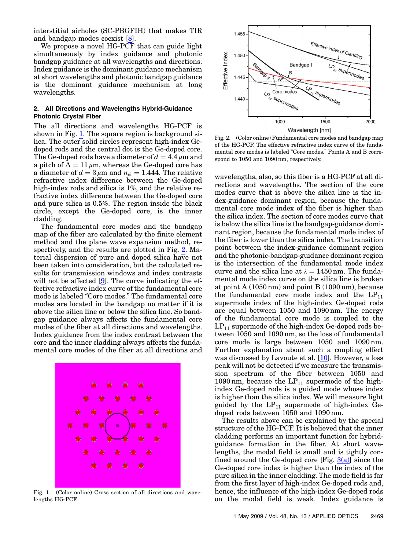interstitial airholes (SC-PBGFIH) that makes TIR and bandgap modes coexist [8].

We propose a novel HG-PCF that can guide light simultaneously by index guidance and photonic bandgap guidance at all wavelengths and directions. Index guidance is the dominant guidance mechanism at short wavelengths and photonic bandgap guidance is the dominant guidance mechanism at long wavelengths.

### 2. All Directions and Wavelengths Hybrid-Guidance Photonic Crystal Fiber

The all directions and wavelengths HG-PCF is shown in Fig. [1](#page-1-0). The square region is background silica. The outer solid circles represent high-index Gedoped rods and the central dot is the Ge-doped core. The Ge-doped rods have a diameter of  $d = 4.4 \,\mu$ m and a pitch of  $\Lambda = 11 \mu m$ , whereas the Ge-doped core has a diameter of  $d = 3 \mu m$  and  $n_{si} = 1.444$ . The relative refractive index difference between the Ge-doped high-index rods and silica is 1%, and the relative refractive index difference between the Ge-doped core and pure silica is 0.5%. The region inside the black circle, except the Ge-doped core, is the inner cladding.

The fundamental core modes and the bandgap map of the fiber are calculated by the finite element method and the plane wave expansion method, respectively, and the results are plotted in Fig. [2.](#page-1-1) Material dispersion of pure and doped silica have not been taken into consideration, but the calculated results for transmission windows and index contrasts will not be affected [9]. The curve indicating the effective refractive index curve of the fundamental core mode is labeled "Core modes." The fundamental core modes are located in the bandgap no matter if it is above the silica line or below the silica line. So bandgap guidance always affects the fundamental core modes of the fiber at all directions and wavelengths. Index guidance from the index contrast between the core and the inner cladding always affects the fundamental core modes of the fiber at all directions and

<span id="page-1-0"></span>

Fig. 1. (Color online) Cross section of all directions and wavelengths HG-PCF.

<span id="page-1-1"></span>

Fig. 2. (Color online) Fundamental core modes and bandgap map of the HG-PCF. The effective refractive index curve of the fundamental core modes is labeled "Core modes." Points A and B correspond to 1050 and 1090 nm, respectively.

wavelengths, also, so this fiber is a HG-PCF at all directions and wavelengths. The section of the core modes curve that is above the silica line is the index-guidance dominant region, because the fundamental core mode index of the fiber is higher than the silica index. The section of core modes curve that is below the silica line is the bandgap-guidance dominant region, because the fundamental mode index of the fiber is lower than the silica index. The transition point between the index-guidance dominant region and the photonic-bandgap-guidance dominant region is the intersection of the fundamental mode index curve and the silica line at  $\lambda = 1450$  nm. The fundamental mode index curve on the silica line is broken at point A (1050 nm) and point B (1090 nm), because the fundamental core mode index and the  $LP_{11}$ supermode index of the high-index Ge-doped rods are equal between 1050 and 1090 nm. The energy of the fundamental core mode is coupled to the  $LP_{11}$  supermode of the high-index Ge-doped rods between 1050 and 1090 nm, so the loss of fundamental core mode is large between 1050 and 1090 nm. Further explanation about such a coupling effect was discussed by Lavoute et al. [10]. However, a loss peak will not be detected if we measure the transmission spectrum of the fiber between 1050 and 1090 nm, because the  $LP_{11}$  supermode of the highindex Ge-doped rods is a guided mode whose index is higher than the silica index. We will measure light guided by the  $LP_{11}$  supermode of high-index Gedoped rods between 1050 and 1090 nm.

The results above can be explained by the special structure of the HG-PCF. It is believed that the inner cladding performs an important function for hybridguidance formation in the fiber. At short wavelengths, the modal field is small and is tightly confined around the Ge-doped core  $[Fig. 3(a)]$  $[Fig. 3(a)]$  since the Ge-doped core index is higher than the index of the pure silica in the inner cladding. The mode field is far from the first layer of high-index Ge-doped rods and, hence, the influence of the high-index Ge-doped rods on the modal field is weak. Index guidance is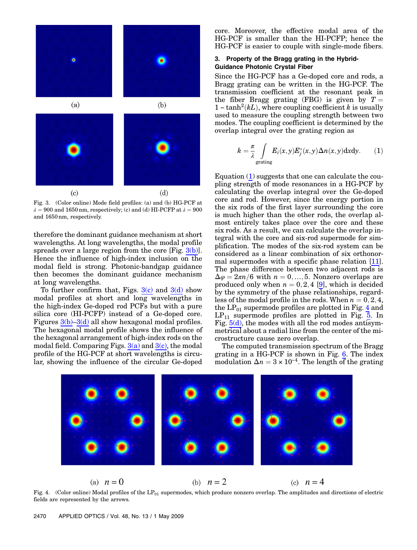

<span id="page-2-0"></span>Fig. 3. (Color online) Mode field profiles: (a) and (b) HG-PCF at  $\lambda = 900$  and 1650 nm, respectively; (c) and (d) HI-PCFP at  $\lambda = 900$ and 1650 nm, respectively.

therefore the dominant guidance mechanism at short wavelengths. At long wavelengths, the modal profile spreads over a large region from the core  $[Fig, 3(b)].$  $[Fig, 3(b)].$  $[Fig, 3(b)].$ Hence the influence of high-index inclusion on the modal field is strong. Photonic-bandgap guidance then becomes the dominant guidance mechanism at long wavelengths.

To further confirm that, Figs.  $3(c)$  and  $3(d)$  show modal profiles at short and long wavelengths in the high-index Ge-doped rod PCFs but with a pure silica core (HI-PCFP) instead of a Ge-doped core. Figures  $3(b)-3(d)$  $3(b)-3(d)$  $3(b)-3(d)$  all show hexagonal modal profiles. The hexagonal modal profile shows the influence of the hexagonal arrangement of high-index rods on the modal field. Comparing Figs.  $3(a)$  and  $3(c)$ , the modal profile of the HG-PCF at short wavelengths is circular, showing the influence of the circular Ge-doped core. Moreover, the effective modal area of the HG-PCF is smaller than the HI-PCFP; hence the HG-PCF is easier to couple with single-mode fibers.

# 3. Property of the Bragg grating in the Hybrid-Guidance Photonic Crystal Fiber

Since the HG-PCF has a Ge-doped core and rods, a Bragg grating can be written in the HG-PCF. The transmission coefficient at the resonant peak in the fiber Bragg grating (FBG) is given by  $T =$ Bragg grating can be written in the HG-PCF. The<br>transmission coefficient at the resonant peak in<br>the fiber Bragg grating (FBG) is given by  $T = 1 - \tanh^2(kL)$ , where coupling coefficient k is usually used to measure the coupling strength between two modes. The coupling coefficient is determined by the overlap integral over the grating region as

<span id="page-2-1"></span>
$$
k = \frac{\pi}{\lambda} \int_{\text{grating}} E_i(x, y) E_j^*(x, y) \Delta n(x, y) \, \mathrm{d}x \, \mathrm{d}y. \tag{1}
$$

Equation [\(1\)](#page-2-1) suggests that one can calculate the coupling strength of mode resonances in a HG-PCF by calculating the overlap integral over the Ge-doped core and rod. However, since the energy portion in the six rods of the first layer surrounding the core is much higher than the other rods, the overlap almost entirely takes place over the core and these six rods. As a result, we can calculate the overlap integral with the core and six-rod supermode for simplification. The modes of the six-rod system can be considered as a linear combination of six orthonormal supermodes with a specific phase relation [11]. The phase difference between two adjacent rods is  $\Delta \varphi = 2\pi n/6$  with  $n = 0, ..., 5$ . Nonzero overlaps are produced only when  $n = 0, 2, 4$  [9], which is decided by the symmetry of the phase relationships, regardless of the modal profile in the rods. When  $n = 0, 2, 4$ , the  $LP_{01}$  supermode profiles are plotted in Fig. [4](#page-2-2) and  $LP_{11}$  supermode profiles are plotted in Fig. [5.](#page-3-0) In Fig.  $5(d)$ , the modes with all the rod modes antisymmetrical about a radial line from the center of the microstructure cause zero overlap.

The computed transmission spectrum of the Bragg grating in a HG-PCF is shown in Fig. [6.](#page-3-2) The index modulation  $\Delta n = 3 \times 10^{-4}$ . The length of the grating

<span id="page-2-2"></span>

Fig. 4. (Color online) Modal profiles of the  $LP_{01}$  supermodes, which produce nonzero overlap. The amplitudes and directions of electric fields are represented by the arrows.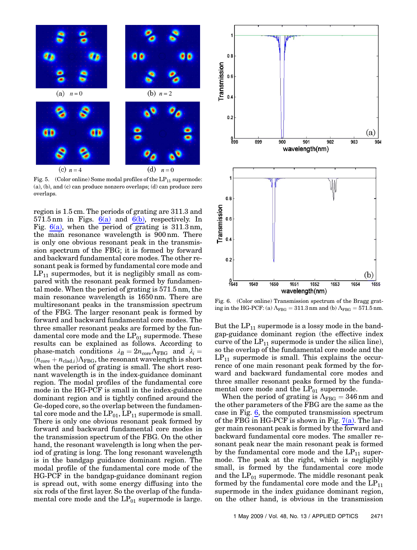<span id="page-3-0"></span>

<span id="page-3-1"></span>Fig. 5. (Color online) Some modal profiles of the  $LP_{11}$  supermode: (a), (b), and (c) can produce nonzero overlaps; (d) can produce zero overlaps.

region is 1:5 cm. The periods of grating are 311.3 and 571.5 nm in Figs.  $6(a)$  and  $6(b)$ , respectively. In Fig.  $6(a)$ , when the period of grating is 311.3 nm, the main resonance wavelength is 900 nm. There is only one obvious resonant peak in the transmission spectrum of the FBG; it is formed by forward and backward fundamental core modes. The other resonant peak is formed by fundamental core mode and  $LP_{11}$  supermodes, but it is negligibly small as compared with the resonant peak formed by fundamental mode. When the period of grating is 571:5 nm, the main resonance wavelength is 1650 nm. There are multiresonant peaks in the transmission spectrum of the FBG. The larger resonant peak is formed by forward and backward fundamental core modes. The three smaller resonant peaks are formed by the fundamental core mode and the  $LP_{01}$  supermode. These results can be explained as follows. According to phase-match conditions  $\lambda_B = 2n_{\text{core}}\Lambda_{\text{FBG}}$  and  $\lambda_i =$  $(n_{core} + n_{clad,i})\Lambda_{\text{FBG}}$ , the resonant wavelength is short when the period of grating is small. The short resonant wavelength is in the index-guidance dominant region. The modal profiles of the fundamental core mode in the HG-PCF is small in the index-guidance dominant region and is tightly confined around the Ge-doped core, so the overlap between the fundamental core mode and the  $LP_{01}$ ,  $LP_{11}$  supermode is small. There is only one obvious resonant peak formed by forward and backward fundamental core modes in the transmission spectrum of the FBG. On the other hand, the resonant wavelength is long when the period of grating is long. The long resonant wavelength is in the bandgap guidance dominant region. The modal profile of the fundamental core mode of the HG-PCF in the bandgap-guidance dominant region is spread out, with some energy diffusing into the six rods of the first layer. So the overlap of the fundamental core mode and the  $LP_{01}$  supermode is large.

<span id="page-3-2"></span>

<span id="page-3-3"></span>Fig. 6. (Color online) Transmission spectrum of the Bragg grating in the HG-PCF: (a)  $\Lambda_{\rm FBG} = 311.3$  nm and (b)  $\Lambda_{\rm FBG} = 571.5$  nm.

But the  $LP_{11}$  supermode is a lossy mode in the bandgap-guidance dominant region (the effective index curve of the  $LP_{11}$  supermode is under the silica line), so the overlap of the fundamental core mode and the  $LP_{11}$  supermode is small. This explains the occurrence of one main resonant peak formed by the forward and backward fundamental core modes and three smaller resonant peaks formed by the fundamental core mode and the  $LP_{01}$  supermode.

When the period of grating is  $\Lambda_{\text{FBG}} = 346 \text{ nm}$  and the other parameters of the FBG are the same as the case in Fig. [6,](#page-3-2) the computed transmission spectrum of the FBG in HG-PCF is shown in Fig.  $7(a)$ . The larger main resonant peak is formed by the forward and backward fundamental core modes. The smaller resonant peak near the main resonant peak is formed by the fundamental core mode and the  $LP_{11}$  supermode. The peak at the right, which is negligibly small, is formed by the fundamental core mode and the  $LP_{01}$  supermode. The middle resonant peak formed by the fundamental core mode and the  $LP_{11}$ supermode in the index guidance dominant region, on the other hand, is obvious in the transmission